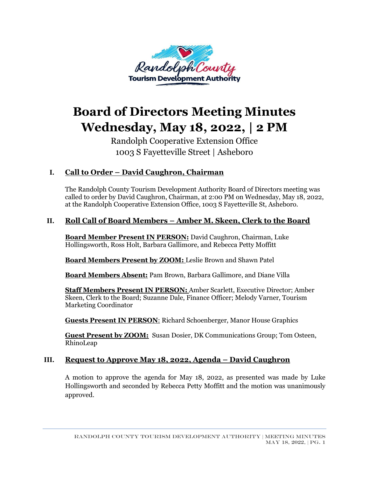

# **Board of Directors Meeting Minutes Wednesday, May 18, 2022, | 2 PM**

Randolph Cooperative Extension Office 1003 S Fayetteville Street | Asheboro

# **I. Call to Order – David Caughron, Chairman**

The Randolph County Tourism Development Authority Board of Directors meeting was called to order by David Caughron, Chairman, at 2:00 PM on Wednesday, May 18, 2022, at the Randolph Cooperative Extension Office, 1003 S Fayetteville St, Asheboro.

### **II. Roll Call of Board Members – Amber M. Skeen, Clerk to the Board**

**Board Member Present IN PERSON:** David Caughron, Chairman, Luke Hollingsworth, Ross Holt, Barbara Gallimore, and Rebecca Petty Moffitt

**Board Members Present by ZOOM:** Leslie Brown and Shawn Patel

**Board Members Absent:** Pam Brown, Barbara Gallimore, and Diane Villa

**Staff Members Present IN PERSON:** Amber Scarlett, Executive Director; Amber Skeen, Clerk to the Board; Suzanne Dale, Finance Officer; Melody Varner, Tourism Marketing Coordinator

**Guests Present IN PERSON**: Richard Schoenberger, Manor House Graphics

**Guest Present by ZOOM:** Susan Dosier, DK Communications Group; Tom Osteen, RhinoLeap

### **III. Request to Approve May 18, 2022, Agenda – David Caughron**

A motion to approve the agenda for May 18, 2022, as presented was made by Luke Hollingsworth and seconded by Rebecca Petty Moffitt and the motion was unanimously approved.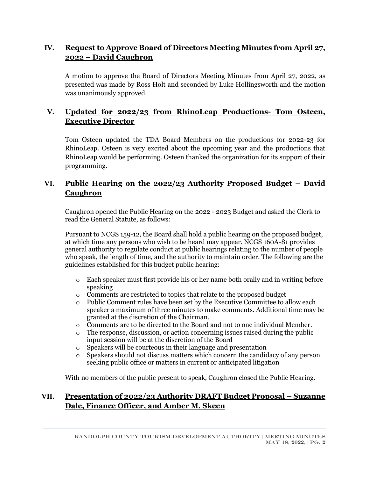### **IV. Request to Approve Board of Directors Meeting Minutes from April 27, 2022 – David Caughron**

A motion to approve the Board of Directors Meeting Minutes from April 27, 2022, as presented was made by Ross Holt and seconded by Luke Hollingsworth and the motion was unanimously approved.

# **V. Updated for 2022/23 from RhinoLeap Productions- Tom Osteen, Executive Director**

Tom Osteen updated the TDA Board Members on the productions for 2022-23 for RhinoLeap. Osteen is very excited about the upcoming year and the productions that RhinoLeap would be performing. Osteen thanked the organization for its support of their programming.

## **VI. Public Hearing on the 2022/23 Authority Proposed Budget – David Caughron**

Caughron opened the Public Hearing on the 2022 - 2023 Budget and asked the Clerk to read the General Statute, as follows:

Pursuant to NCGS 159-12, the Board shall hold a public hearing on the proposed budget, at which time any persons who wish to be heard may appear. NCGS 160A-81 provides general authority to regulate conduct at public hearings relating to the number of people who speak, the length of time, and the authority to maintain order. The following are the guidelines established for this budget public hearing:

- $\circ$  Each speaker must first provide his or her name both orally and in writing before speaking
- o Comments are restricted to topics that relate to the proposed budget
- o Public Comment rules have been set by the Executive Committee to allow each speaker a maximum of three minutes to make comments. Additional time may be granted at the discretion of the Chairman.
- $\circ$  Comments are to be directed to the Board and not to one individual Member.
- o The response, discussion, or action concerning issues raised during the public input session will be at the discretion of the Board
- o Speakers will be courteous in their language and presentation
- o Speakers should not discuss matters which concern the candidacy of any person seeking public office or matters in current or anticipated litigation

With no members of the public present to speak, Caughron closed the Public Hearing.

### **VII. Presentation of 2022/23 Authority DRAFT Budget Proposal – Suzanne Dale, Finance Officer, and Amber M. Skeen**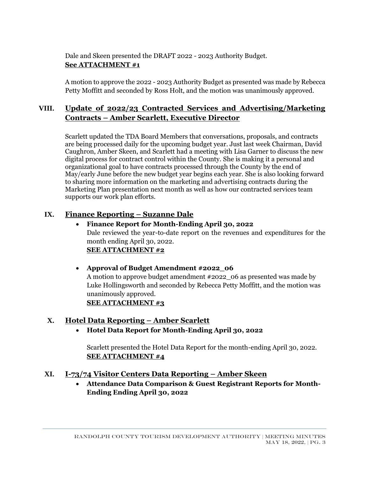Dale and Skeen presented the DRAFT 2022 - 2023 Authority Budget. **See ATTACHMENT #1**

A motion to approve the 2022 - 2023 Authority Budget as presented was made by Rebecca Petty Moffitt and seconded by Ross Holt, and the motion was unanimously approved.

# **VIII. Update of 2022/23 Contracted Services and Advertising/Marketing Contracts – Amber Scarlett, Executive Director**

Scarlett updated the TDA Board Members that conversations, proposals, and contracts are being processed daily for the upcoming budget year. Just last week Chairman, David Caughron, Amber Skeen, and Scarlett had a meeting with Lisa Garner to discuss the new digital process for contract control within the County. She is making it a personal and organizational goal to have contracts processed through the County by the end of May/early June before the new budget year begins each year. She is also looking forward to sharing more information on the marketing and advertising contracts during the Marketing Plan presentation next month as well as how our contracted services team supports our work plan efforts.

### **IX. Finance Reporting – Suzanne Dale**

### • **Finance Report for Month-Ending April 30, 2022** Dale reviewed the year-to-date report on the revenues and expenditures for the month ending April 30, 2022. **SEE ATTACHMENT #2**

### • **Approval of Budget Amendment #2022\_06**

A motion to approve budget amendment #2022\_06 as presented was made by Luke Hollingsworth and seconded by Rebecca Petty Moffitt, and the motion was unanimously approved. **SEE ATTACHMENT #3**

# **X. Hotel Data Reporting – Amber Scarlett**

• **Hotel Data Report for Month-Ending April 30, 2022**

Scarlett presented the Hotel Data Report for the month-ending April 30, 2022. **SEE ATTACHMENT #4**

### **XI. I-73/74 Visitor Centers Data Reporting – Amber Skeen**

• **Attendance Data Comparison & Guest Registrant Reports for Month-Ending Ending April 30, 2022**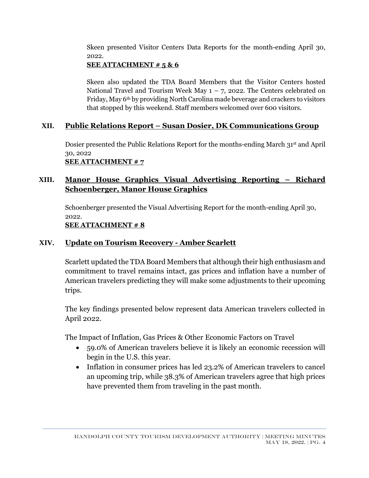Skeen presented Visitor Centers Data Reports for the month-ending April 30, 2022.

## **SEE ATTACHMENT # 5 & 6**

Skeen also updated the TDA Board Members that the Visitor Centers hosted National Travel and Tourism Week May  $1 - 7$ , 2022. The Centers celebrated on Friday, May 6th by providing North Carolina made beverage and crackers to visitors that stopped by this weekend. Staff members welcomed over 600 visitors.

# **XII. Public Relations Report – Susan Dosier, DK Communications Group**

Dosier presented the Public Relations Report for the months-ending March 31st and April 30, 2022 **SEE ATTACHMENT # 7**

# **XIII. Manor House Graphics Visual Advertising Reporting – Richard Schoenberger, Manor House Graphics**

Schoenberger presented the Visual Advertising Report for the month-ending April 30, 2022.

### **SEE ATTACHMENT # 8**

# **XIV. Update on Tourism Recovery - Amber Scarlett**

Scarlett updated the TDA Board Members that although their high enthusiasm and commitment to travel remains intact, gas prices and inflation have a number of American travelers predicting they will make some adjustments to their upcoming trips.

The key findings presented below represent data American travelers collected in April 2022.

The Impact of Inflation, Gas Prices & Other Economic Factors on Travel

- 59.0% of American travelers believe it is likely an economic recession will begin in the U.S. this year.
- Inflation in consumer prices has led 23.2% of American travelers to cancel an upcoming trip, while 38.3% of American travelers agree that high prices have prevented them from traveling in the past month.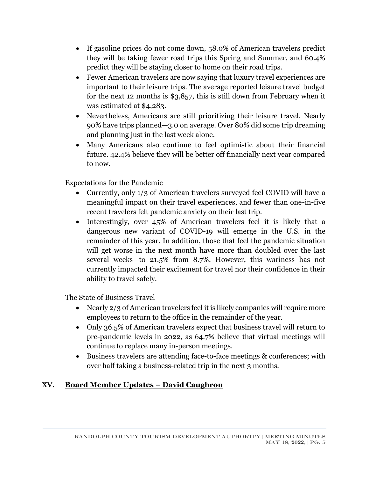- If gasoline prices do not come down, 58.0% of American travelers predict they will be taking fewer road trips this Spring and Summer, and 60.4% predict they will be staying closer to home on their road trips.
- Fewer American travelers are now saying that luxury travel experiences are important to their leisure trips. The average reported leisure travel budget for the next 12 months is \$3,857, this is still down from February when it was estimated at \$4,283.
- Nevertheless, Americans are still prioritizing their leisure travel. Nearly 90% have trips planned—3.0 on average. Over 80% did some trip dreaming and planning just in the last week alone.
- Many Americans also continue to feel optimistic about their financial future. 42.4% believe they will be better off financially next year compared to now.

Expectations for the Pandemic

- Currently, only 1/3 of American travelers surveyed feel COVID will have a meaningful impact on their travel experiences, and fewer than one-in-five recent travelers felt pandemic anxiety on their last trip.
- Interestingly, over 45% of American travelers feel it is likely that a dangerous new variant of COVID-19 will emerge in the U.S. in the remainder of this year. In addition, those that feel the pandemic situation will get worse in the next month have more than doubled over the last several weeks—to 21.5% from 8.7%. However, this wariness has not currently impacted their excitement for travel nor their confidence in their ability to travel safely.

The State of Business Travel

- Nearly 2/3 of American travelers feel it is likely companies will require more employees to return to the office in the remainder of the year.
- Only 36.5% of American travelers expect that business travel will return to pre-pandemic levels in 2022, as 64.7% believe that virtual meetings will continue to replace many in-person meetings.
- Business travelers are attending face-to-face meetings & conferences; with over half taking a business-related trip in the next 3 months.

# **XV. Board Member Updates – David Caughron**